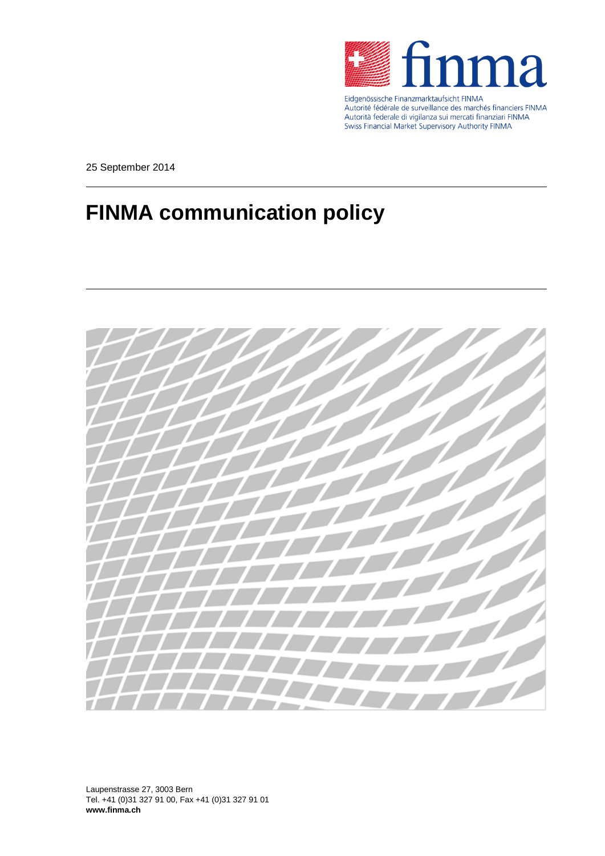

Eidgenössische Finanzmarktaufsicht FINMA<br>Autorité fédérale de surveillance des marchés financiers FINMA Autorità federale di vigilanza sui mercati finanziari FINMA Swiss Financial Market Supervisory Authority FINMA

25 September 2014

# **FINMA communication policy**



Laupenstrasse 27, 3003 Bern Tel. +41 (0)31 327 91 00, Fax +41 (0)31 327 91 01 **www.finma.ch**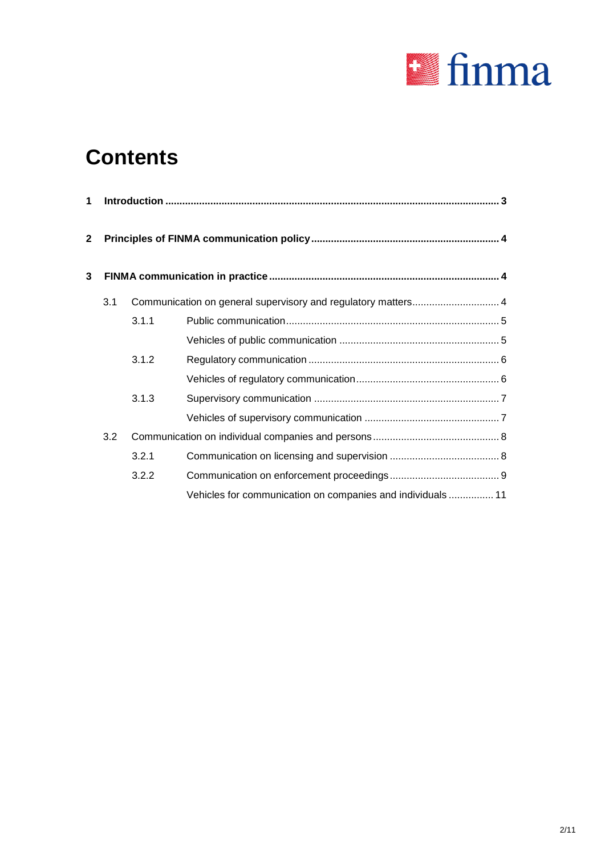

# **Contents**

| 1              |     |       |                                                               |  |  |  |
|----------------|-----|-------|---------------------------------------------------------------|--|--|--|
| $\overline{2}$ |     |       |                                                               |  |  |  |
| 3              |     |       |                                                               |  |  |  |
|                | 3.1 |       | Communication on general supervisory and regulatory matters 4 |  |  |  |
|                |     | 3.1.1 |                                                               |  |  |  |
|                |     |       |                                                               |  |  |  |
|                |     | 3.1.2 |                                                               |  |  |  |
|                |     |       |                                                               |  |  |  |
|                |     | 3.1.3 |                                                               |  |  |  |
|                |     |       |                                                               |  |  |  |
|                | 3.2 |       |                                                               |  |  |  |
|                |     | 3.2.1 |                                                               |  |  |  |
|                |     | 3.2.2 |                                                               |  |  |  |
|                |     |       | Vehicles for communication on companies and individuals  11   |  |  |  |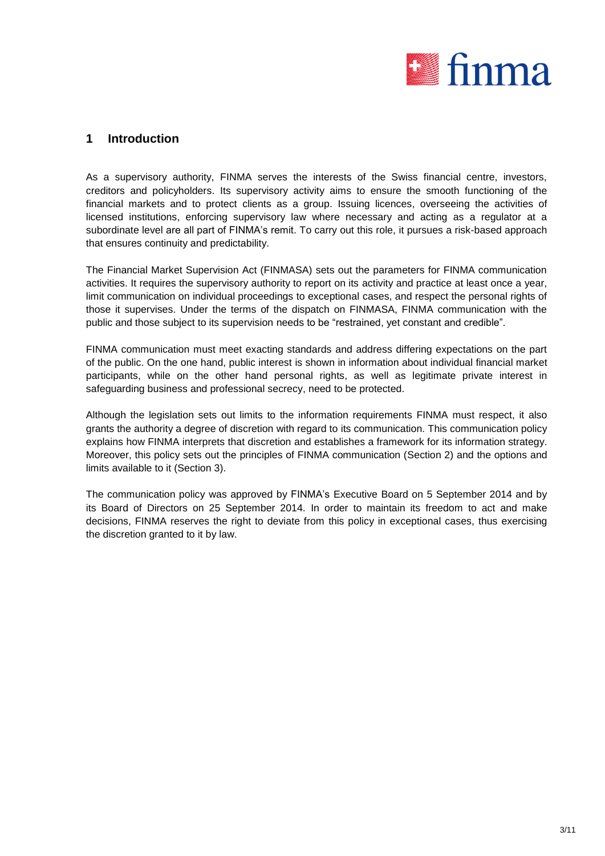

## **1 Introduction**

As a supervisory authority, FINMA serves the interests of the Swiss financial centre, investors, creditors and policyholders. Its supervisory activity aims to ensure the smooth functioning of the financial markets and to protect clients as a group. Issuing licences, overseeing the activities of licensed institutions, enforcing supervisory law where necessary and acting as a regulator at a subordinate level are all part of FINMA's remit. To carry out this role, it pursues a risk-based approach that ensures continuity and predictability.

The Financial Market Supervision Act (FINMASA) sets out the parameters for FINMA communication activities. It requires the supervisory authority to report on its activity and practice at least once a year, limit communication on individual proceedings to exceptional cases, and respect the personal rights of those it supervises. Under the terms of the dispatch on FINMASA, FINMA communication with the public and those subject to its supervision needs to be "restrained, yet constant and credible".

FINMA communication must meet exacting standards and address differing expectations on the part of the public. On the one hand, public interest is shown in information about individual financial market participants, while on the other hand personal rights, as well as legitimate private interest in safeguarding business and professional secrecy, need to be protected.

Although the legislation sets out limits to the information requirements FINMA must respect, it also grants the authority a degree of discretion with regard to its communication. This communication policy explains how FINMA interprets that discretion and establishes a framework for its information strategy. Moreover, this policy sets out the principles of FINMA communication (Section 2) and the options and limits available to it (Section 3).

The communication policy was approved by FINMA's Executive Board on 5 September 2014 and by its Board of Directors on 25 September 2014. In order to maintain its freedom to act and make decisions, FINMA reserves the right to deviate from this policy in exceptional cases, thus exercising the discretion granted to it by law.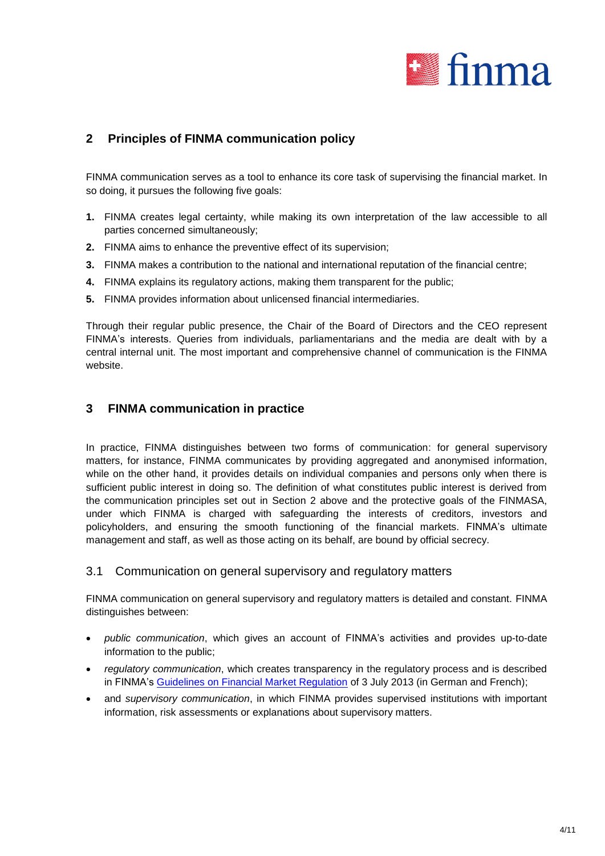

# **2 Principles of FINMA communication policy**

FINMA communication serves as a tool to enhance its core task of supervising the financial market. In so doing, it pursues the following five goals:

- **1.** FINMA creates legal certainty, while making its own interpretation of the law accessible to all parties concerned simultaneously;
- **2.** FINMA aims to enhance the preventive effect of its supervision;
- **3.** FINMA makes a contribution to the national and international reputation of the financial centre;
- **4.** FINMA explains its regulatory actions, making them transparent for the public;
- **5.** FINMA provides information about unlicensed financial intermediaries.

Through their regular public presence, the Chair of the Board of Directors and the CEO represent FINMA's interests. Queries from individuals, parliamentarians and the media are dealt with by a central internal unit. The most important and comprehensive channel of communication is the FINMA website.

## **3 FINMA communication in practice**

In practice, FINMA distinguishes between two forms of communication: for general supervisory matters, for instance, FINMA communicates by providing aggregated and anonymised information, while on the other hand, it provides details on individual companies and persons only when there is sufficient public interest in doing so. The definition of what constitutes public interest is derived from the communication principles set out in Section 2 above and the protective goals of the FINMASA, under which FINMA is charged with safeguarding the interests of creditors, investors and policyholders, and ensuring the smooth functioning of the financial markets. FINMA's ultimate management and staff, as well as those acting on its behalf, are bound by official secrecy.

## 3.1 Communication on general supervisory and regulatory matters

FINMA communication on general supervisory and regulatory matters is detailed and constant. FINMA distinguishes between:

- *public communication*, which gives an account of FINMA's activities and provides up-to-date information to the public;
- *regulatory communication*, which creates transparency in the regulatory process and is described in FINMA's [Guidelines on Financial Market Regulation](http://www.finma.ch/d/regulierung/gesetze/Documents/leitlinien-finanzmarktregulierung-20130703-d.pdf) of 3 July 2013 (in German and French);
- and *supervisory communication*, in which FINMA provides supervised institutions with important information, risk assessments or explanations about supervisory matters.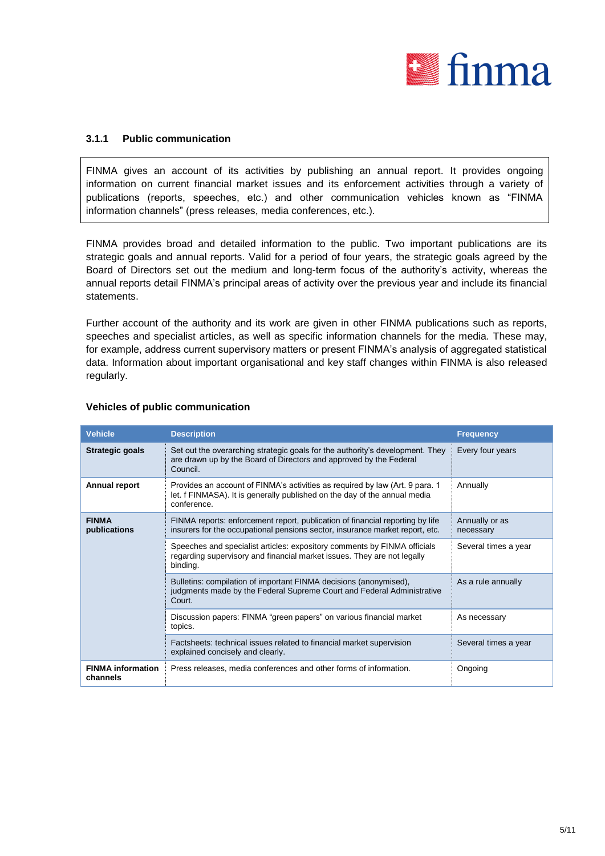

## **3.1.1 Public communication**

FINMA gives an account of its activities by publishing an annual report. It provides ongoing information on current financial market issues and its enforcement activities through a variety of publications (reports, speeches, etc.) and other communication vehicles known as "FINMA information channels" (press releases, media conferences, etc.).

FINMA provides broad and detailed information to the public. Two important publications are its strategic goals and annual reports. Valid for a period of four years, the strategic goals agreed by the Board of Directors set out the medium and long-term focus of the authority's activity, whereas the annual reports detail FINMA's principal areas of activity over the previous year and include its financial statements.

Further account of the authority and its work are given in other FINMA publications such as reports, speeches and specialist articles, as well as specific information channels for the media. These may, for example, address current supervisory matters or present FINMA's analysis of aggregated statistical data. Information about important organisational and key staff changes within FINMA is also released regularly.

| <b>Vehicle</b>                       | <b>Description</b>                                                                                                                                                        | <b>Frequency</b>            |
|--------------------------------------|---------------------------------------------------------------------------------------------------------------------------------------------------------------------------|-----------------------------|
| Strategic goals                      | Set out the overarching strategic goals for the authority's development. They<br>are drawn up by the Board of Directors and approved by the Federal<br>Council.           | Every four years            |
| Annual report                        | Provides an account of FINMA's activities as required by law (Art. 9 para. 1)<br>let. f FINMASA). It is generally published on the day of the annual media<br>conference. | Annually                    |
| <b>FINMA</b><br>publications         | FINMA reports: enforcement report, publication of financial reporting by life<br>insurers for the occupational pensions sector, insurance market report, etc.             | Annually or as<br>necessary |
|                                      | Speeches and specialist articles: expository comments by FINMA officials<br>regarding supervisory and financial market issues. They are not legally<br>binding.           | Several times a year        |
|                                      | Bulletins: compilation of important FINMA decisions (anonymised),<br>judgments made by the Federal Supreme Court and Federal Administrative<br>Court.                     | As a rule annually          |
|                                      | Discussion papers: FINMA "green papers" on various financial market<br>topics.                                                                                            | As necessary                |
|                                      | Factsheets: technical issues related to financial market supervision<br>explained concisely and clearly.                                                                  | Several times a year        |
| <b>FINMA</b> information<br>channels | Press releases, media conferences and other forms of information.                                                                                                         | Ongoing                     |

### **Vehicles of public communication**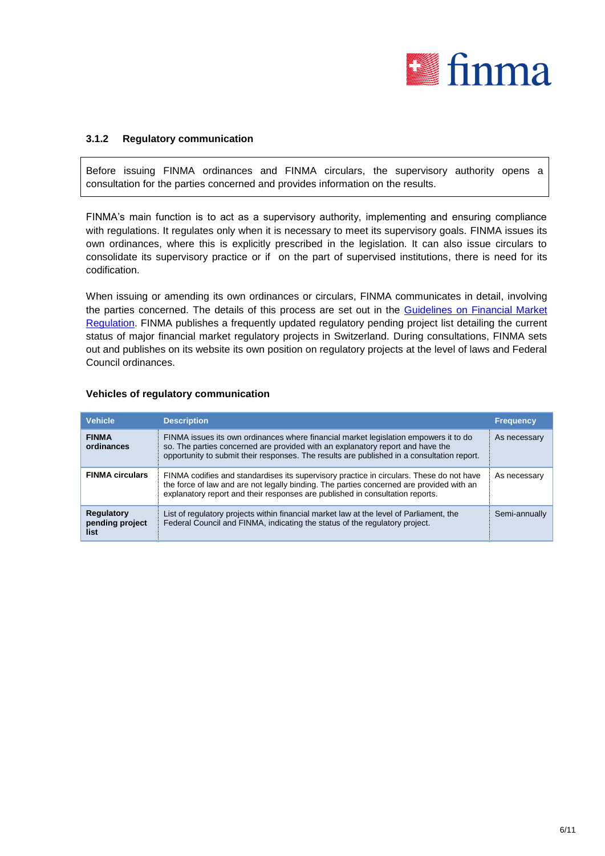

## **3.1.2 Regulatory communication**

Before issuing FINMA ordinances and FINMA circulars, the supervisory authority opens a consultation for the parties concerned and provides information on the results.

FINMA's main function is to act as a supervisory authority, implementing and ensuring compliance with regulations. It regulates only when it is necessary to meet its supervisory goals. FINMA issues its own ordinances, where this is explicitly prescribed in the legislation. It can also issue circulars to consolidate its supervisory practice or if on the part of supervised institutions, there is need for its codification.

When issuing or amending its own ordinances or circulars, FINMA communicates in detail, involving the parties concerned. The details of this process are set out in the Guidelines on Financial Market [Regulation.](https://www.finma.ch/de/~/media/finma/dokumente/dokumentencenter/myfinma/5finma/leitlinien-finanzmarktregulierung.pdf?la=de) FINMA publishes a frequently updated regulatory pending project list detailing the current status of major financial market regulatory projects in Switzerland. During consultations, FINMA sets out and publishes on its website its own position on regulatory projects at the level of laws and Federal Council ordinances.

| <b>Vehicle</b>                        | <b>Description</b>                                                                                                                                                                                                                                                    | <b>Frequency</b> |
|---------------------------------------|-----------------------------------------------------------------------------------------------------------------------------------------------------------------------------------------------------------------------------------------------------------------------|------------------|
| <b>FINMA</b><br>ordinances            | FINMA issues its own ordinances where financial market legislation empowers it to do<br>so. The parties concerned are provided with an explanatory report and have the<br>opportunity to submit their responses. The results are published in a consultation report.  | As necessary     |
| <b>FINMA circulars</b>                | FINMA codifies and standardises its supervisory practice in circulars. These do not have<br>the force of law and are not legally binding. The parties concerned are provided with an<br>explanatory report and their responses are published in consultation reports. | As necessary     |
| Regulatory<br>pending project<br>list | List of regulatory projects within financial market law at the level of Parliament, the<br>Federal Council and FINMA, indicating the status of the regulatory project.                                                                                                | Semi-annually    |

#### **Vehicles of regulatory communication**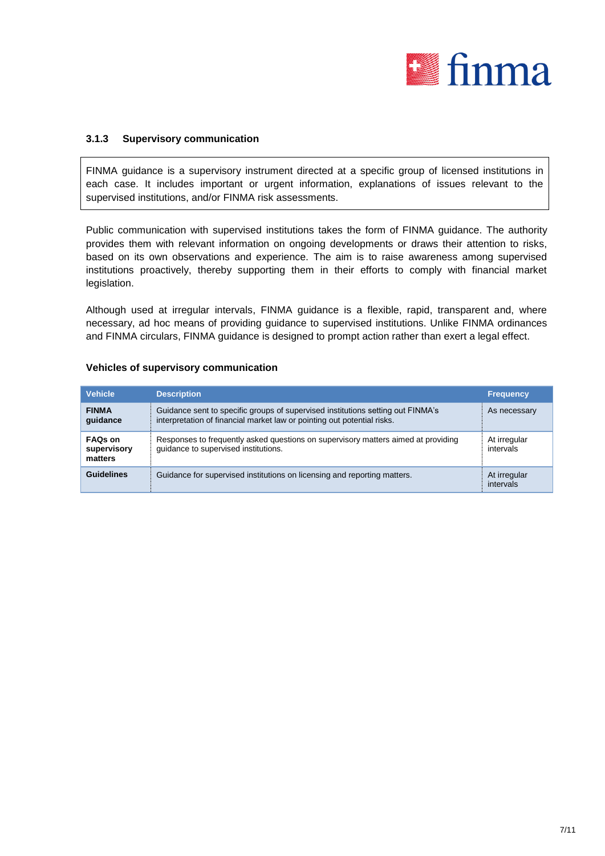

## **3.1.3 Supervisory communication**

FINMA guidance is a supervisory instrument directed at a specific group of licensed institutions in each case. It includes important or urgent information, explanations of issues relevant to the supervised institutions, and/or FINMA risk assessments.

Public communication with supervised institutions takes the form of FINMA guidance. The authority provides them with relevant information on ongoing developments or draws their attention to risks, based on its own observations and experience. The aim is to raise awareness among supervised institutions proactively, thereby supporting them in their efforts to comply with financial market legislation.

Although used at irregular intervals, FINMA guidance is a flexible, rapid, transparent and, where necessary, ad hoc means of providing guidance to supervised institutions. Unlike FINMA ordinances and FINMA circulars, FINMA guidance is designed to prompt action rather than exert a legal effect.

| <b>Vehicle</b>                           | <b>Description</b>                                                                                                                                         | <b>Frequency</b>          |
|------------------------------------------|------------------------------------------------------------------------------------------------------------------------------------------------------------|---------------------------|
| <b>FINMA</b><br>quidance                 | Guidance sent to specific groups of supervised institutions setting out FINMA's<br>interpretation of financial market law or pointing out potential risks. | As necessary              |
| <b>FAQs on</b><br>supervisory<br>matters | Responses to frequently asked questions on supervisory matters aimed at providing<br>quidance to supervised institutions.                                  | At irregular<br>intervals |
| <b>Guidelines</b>                        | Guidance for supervised institutions on licensing and reporting matters.                                                                                   | At irregular<br>intervals |

#### **Vehicles of supervisory communication**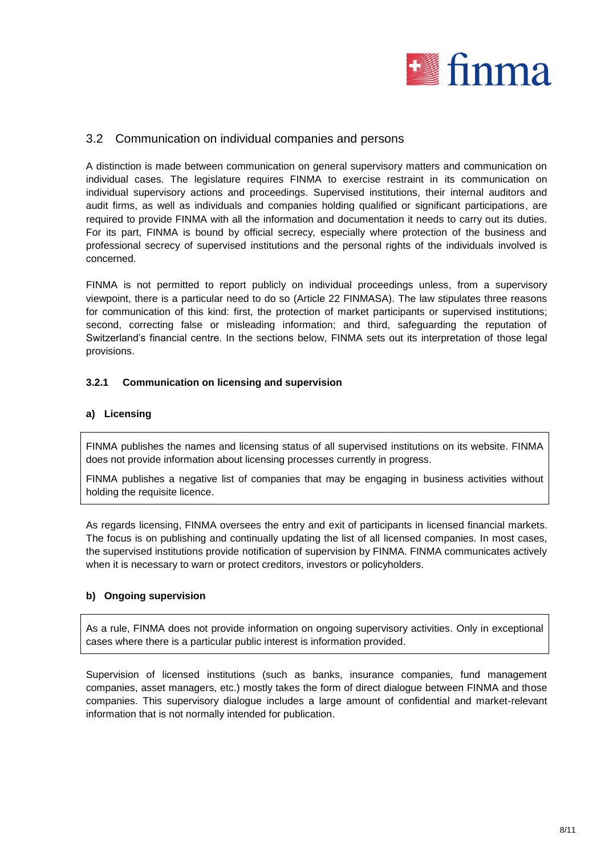

## 3.2 Communication on individual companies and persons

A distinction is made between communication on general supervisory matters and communication on individual cases. The legislature requires FINMA to exercise restraint in its communication on individual supervisory actions and proceedings. Supervised institutions, their internal auditors and audit firms, as well as individuals and companies holding qualified or significant participations, are required to provide FINMA with all the information and documentation it needs to carry out its duties. For its part, FINMA is bound by official secrecy, especially where protection of the business and professional secrecy of supervised institutions and the personal rights of the individuals involved is concerned.

FINMA is not permitted to report publicly on individual proceedings unless, from a supervisory viewpoint, there is a particular need to do so (Article 22 FINMASA). The law stipulates three reasons for communication of this kind: first, the protection of market participants or supervised institutions; second, correcting false or misleading information; and third, safeguarding the reputation of Switzerland's financial centre. In the sections below, FINMA sets out its interpretation of those legal provisions.

## **3.2.1 Communication on licensing and supervision**

## **a) Licensing**

FINMA publishes the names and licensing status of all supervised institutions on its website. FINMA does not provide information about licensing processes currently in progress.

FINMA publishes a negative list of companies that may be engaging in business activities without holding the requisite licence.

As regards licensing, FINMA oversees the entry and exit of participants in licensed financial markets. The focus is on publishing and continually updating the list of all licensed companies. In most cases, the supervised institutions provide notification of supervision by FINMA. FINMA communicates actively when it is necessary to warn or protect creditors, investors or policyholders.

## **b) Ongoing supervision**

As a rule, FINMA does not provide information on ongoing supervisory activities. Only in exceptional cases where there is a particular public interest is information provided.

Supervision of licensed institutions (such as banks, insurance companies, fund management companies, asset managers, etc.) mostly takes the form of direct dialogue between FINMA and those companies. This supervisory dialogue includes a large amount of confidential and market-relevant information that is not normally intended for publication.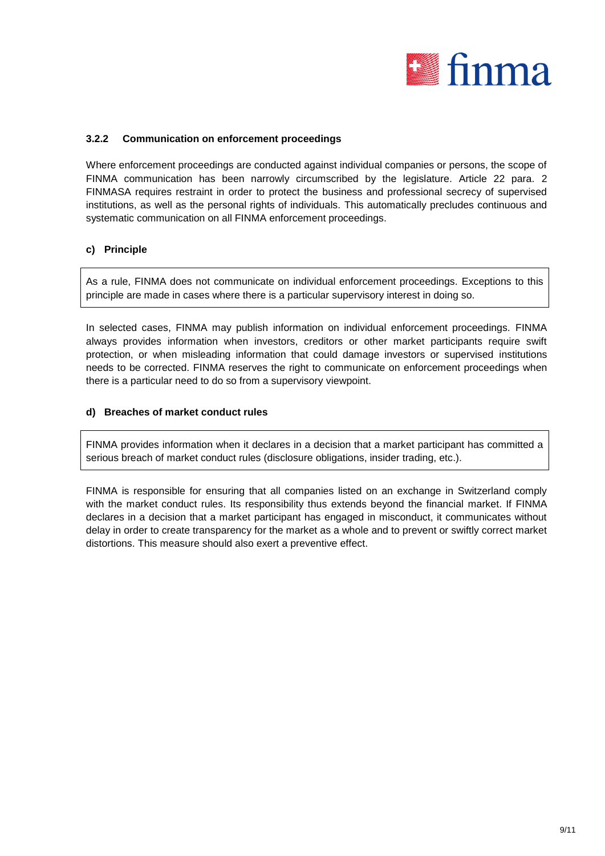

## **3.2.2 Communication on enforcement proceedings**

Where enforcement proceedings are conducted against individual companies or persons, the scope of FINMA communication has been narrowly circumscribed by the legislature. Article 22 para. 2 FINMASA requires restraint in order to protect the business and professional secrecy of supervised institutions, as well as the personal rights of individuals. This automatically precludes continuous and systematic communication on all FINMA enforcement proceedings.

### **c) Principle**

As a rule, FINMA does not communicate on individual enforcement proceedings. Exceptions to this principle are made in cases where there is a particular supervisory interest in doing so.

In selected cases, FINMA may publish information on individual enforcement proceedings. FINMA always provides information when investors, creditors or other market participants require swift protection, or when misleading information that could damage investors or supervised institutions needs to be corrected. FINMA reserves the right to communicate on enforcement proceedings when there is a particular need to do so from a supervisory viewpoint.

#### **d) Breaches of market conduct rules**

FINMA provides information when it declares in a decision that a market participant has committed a serious breach of market conduct rules (disclosure obligations, insider trading, etc.).

FINMA is responsible for ensuring that all companies listed on an exchange in Switzerland comply with the market conduct rules. Its responsibility thus extends beyond the financial market. If FINMA declares in a decision that a market participant has engaged in misconduct, it communicates without delay in order to create transparency for the market as a whole and to prevent or swiftly correct market distortions. This measure should also exert a preventive effect.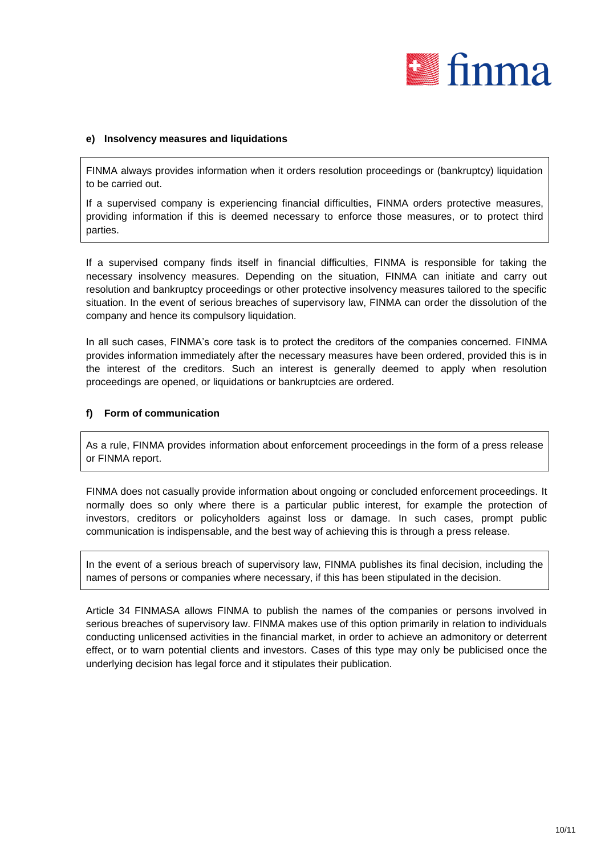

### **e) Insolvency measures and liquidations**

FINMA always provides information when it orders resolution proceedings or (bankruptcy) liquidation to be carried out.

If a supervised company is experiencing financial difficulties, FINMA orders protective measures, providing information if this is deemed necessary to enforce those measures, or to protect third parties.

If a supervised company finds itself in financial difficulties, FINMA is responsible for taking the necessary insolvency measures. Depending on the situation, FINMA can initiate and carry out resolution and bankruptcy proceedings or other protective insolvency measures tailored to the specific situation. In the event of serious breaches of supervisory law, FINMA can order the dissolution of the company and hence its compulsory liquidation.

In all such cases, FINMA's core task is to protect the creditors of the companies concerned. FINMA provides information immediately after the necessary measures have been ordered, provided this is in the interest of the creditors. Such an interest is generally deemed to apply when resolution proceedings are opened, or liquidations or bankruptcies are ordered.

### **f) Form of communication**

As a rule, FINMA provides information about enforcement proceedings in the form of a press release or FINMA report.

FINMA does not casually provide information about ongoing or concluded enforcement proceedings. It normally does so only where there is a particular public interest, for example the protection of investors, creditors or policyholders against loss or damage. In such cases, prompt public communication is indispensable, and the best way of achieving this is through a press release.

In the event of a serious breach of supervisory law, FINMA publishes its final decision, including the names of persons or companies where necessary, if this has been stipulated in the decision.

Article 34 FINMASA allows FINMA to publish the names of the companies or persons involved in serious breaches of supervisory law. FINMA makes use of this option primarily in relation to individuals conducting unlicensed activities in the financial market, in order to achieve an admonitory or deterrent effect, or to warn potential clients and investors. Cases of this type may only be publicised once the underlying decision has legal force and it stipulates their publication.